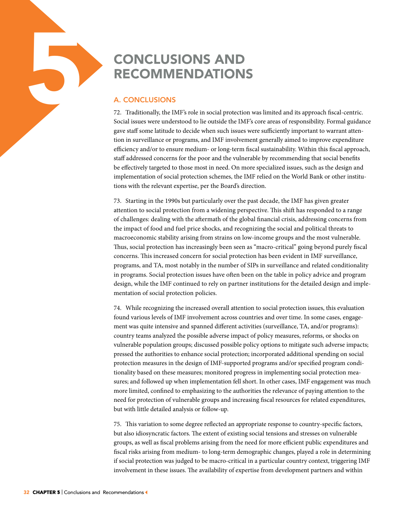## RECOMMENDATIONS

## A. CONCLUSIONS

5

72. Traditionally, the IMF's role in social protection was limited and its approach fiscal-centric. Social issues were understood to lie outside the IMF's core areas of responsibility. Formal guidance gave staff some latitude to decide when such issues were sufficiently important to warrant attention in surveillance or programs, and IMF involvement generally aimed to improve expenditure efficiency and/or to ensure medium- or long-term fiscal sustainability. Within this fiscal approach, staff addressed concerns for the poor and the vulnerable by recommending that social benefits be effectively targeted to those most in need. On more specialized issues, such as the design and implementation of social protection schemes, the IMF relied on the World Bank or other institutions with the relevant expertise, per the Board's direction.

73. Starting in the 1990s but particularly over the past decade, the IMF has given greater attention to social protection from a widening perspective. This shift has responded to a range of challenges: dealing with the aftermath of the global financial crisis, addressing concerns from the impact of food and fuel price shocks, and recognizing the social and political threats to macroeconomic stability arising from strains on low-income groups and the most vulnerable. Thus, social protection has increasingly been seen as "macro-critical" going beyond purely fiscal concerns. This increased concern for social protection has been evident in IMF surveillance, programs, and TA, most notably in the number of SIPs in surveillance and related conditionality in programs. Social protection issues have often been on the table in policy advice and program design, while the IMF continued to rely on partner institutions for the detailed design and implementation of social protection policies.

**ECONCLUSIONS AND**<br> **RECONMENDATIONS**<br> **RECONMENDATIONS**<br> **A. CONCLUSIONS**<br> **A. CONCLUSIONS**<br> **P.** Traditionally, the IMF's rote in social protection<br>
signer staff acons later to the HMF state that the IMF states where und 74. While recognizing the increased overall attention to social protection issues, this evaluation found various levels of IMF involvement across countries and over time. In some cases, engagement was quite intensive and spanned different activities (surveillance, TA, and/or programs): country teams analyzed the possible adverse impact of policy measures, reforms, or shocks on vulnerable population groups; discussed possible policy options to mitigate such adverse impacts; pressed the authorities to enhance social protection; incorporated additional spending on social protection measures in the design of IMF-supported programs and/or specified program conditionality based on these measures; monitored progress in implementing social protection measures; and followed up when implementation fell short. In other cases, IMF engagement was much more limited, confined to emphasizing to the authorities the relevance of paying attention to the need for protection of vulnerable groups and increasing fiscal resources for related expenditures, but with little detailed analysis or follow-up.

75. This variation to some degree reflected an appropriate response to country-specific factors, but also idiosyncratic factors. The extent of existing social tensions and stresses on vulnerable groups, as well as fiscal problems arising from the need for more efficient public expenditures and fiscal risks arising from medium- to long-term demographic changes, played a role in determining if social protection was judged to be macro-critical in a particular country context, triggering IMF involvement in these issues. The availability of expertise from development partners and within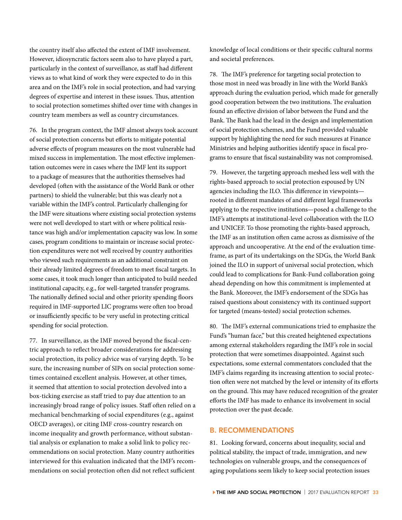the country itself also affected the extent of IMF involvement. However, idiosyncratic factors seem also to have played a part, particularly in the context of surveillance, as staff had different views as to what kind of work they were expected to do in this area and on the IMF's role in social protection, and had varying degrees of expertise and interest in these issues. Thus, attention to social protection sometimes shifted over time with changes in country team members as well as country circumstances.

76. In the program context, the IMF almost always took account of social protection concerns but efforts to mitigate potential adverse effects of program measures on the most vulnerable had mixed success in implementation. The most effective implementation outcomes were in cases where the IMF lent its support to a package of measures that the authorities themselves had developed (often with the assistance of the World Bank or other partners) to shield the vulnerable; but this was clearly not a variable within the IMF's control. Particularly challenging for the IMF were situations where existing social protection systems were not well developed to start with or where political resistance was high and/or implementation capacity was low. In some cases, program conditions to maintain or increase social protection expenditures were not well received by country authorities who viewed such requirements as an additional constraint on their already limited degrees of freedom to meet fiscal targets. In some cases, it took much longer than anticipated to build needed institutional capacity, e.g., for well-targeted transfer programs. The nationally defined social and other priority spending floors required in IMF-supported LIC programs were often too broad or insufficiently specific to be very useful in protecting critical spending for social protection.

77. In surveillance, as the IMF moved beyond the fiscal-centric approach to reflect broader considerations for addressing social protection, its policy advice was of varying depth. To be sure, the increasing number of SIPs on social protection sometimes contained excellent analysis. However, at other times, it seemed that attention to social protection devolved into a box-ticking exercise as staff tried to pay due attention to an increasingly broad range of policy issues. Staff often relied on a mechanical benchmarking of social expenditures (e.g., against OECD averages), or citing IMF cross-country research on income inequality and growth performance, without substantial analysis or explanation to make a solid link to policy recommendations on social protection. Many country authorities interviewed for this evaluation indicated that the IMF's recommendations on social protection often did not reflect sufficient

knowledge of local conditions or their specific cultural norms and societal preferences.

78. The IMF's preference for targeting social protection to those most in need was broadly in line with the World Bank's approach during the evaluation period, which made for generally good cooperation between the two institutions. The evaluation found an effective division of labor between the Fund and the Bank. The Bank had the lead in the design and implementation of social protection schemes, and the Fund provided valuable support by highlighting the need for such measures at Finance Ministries and helping authorities identify space in fiscal programs to ensure that fiscal sustainability was not compromised.

79. However, the targeting approach meshed less well with the rights-based approach to social protection espoused by UN agencies including the ILO. This difference in viewpoints rooted in different mandates of and different legal frameworks applying to the respective institutions—posed a challenge to the IMF's attempts at institutional-level collaboration with the ILO and UNICEF. To those promoting the rights-based approach, the IMF as an institution often came across as dismissive of the approach and uncooperative. At the end of the evaluation timeframe, as part of its undertakings on the SDGs, the World Bank joined the ILO in support of universal social protection, which could lead to complications for Bank-Fund collaboration going ahead depending on how this commitment is implemented at the Bank. Moreover, the IMF's endorsement of the SDGs has raised questions about consistency with its continued support for targeted (means-tested) social protection schemes.

80. The IMF's external communications tried to emphasize the Fund's "human face," but this created heightened expectations among external stakeholders regarding the IMF's role in social protection that were sometimes disappointed. Against such expectations, some external commentators concluded that the IMF's claims regarding its increasing attention to social protection often were not matched by the level or intensity of its efforts on the ground. This may have reduced recognition of the greater efforts the IMF has made to enhance its involvement in social protection over the past decade.

## B. RECOMMENDATIONS

81. Looking forward, concerns about inequality, social and political stability, the impact of trade, immigration, and new technologies on vulnerable groups, and the consequences of aging populations seem likely to keep social protection issues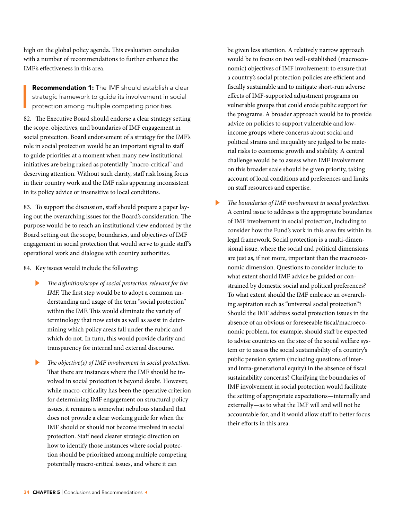high on the global policy agenda. This evaluation concludes with a number of recommendations to further enhance the IMF's effectiveness in this area.

**Recommendation 1:** The IMF should establish a clear strategic framework to guide its involvement in social protection among multiple competing priorities.

82. The Executive Board should endorse a clear strategy setting the scope, objectives, and boundaries of IMF engagement in social protection. Board endorsement of a strategy for the IMF's role in social protection would be an important signal to staff to guide priorities at a moment when many new institutional initiatives are being raised as potentially "macro-critical" and deserving attention. Without such clarity, staff risk losing focus in their country work and the IMF risks appearing inconsistent in its policy advice or insensitive to local conditions.

83. To support the discussion, staff should prepare a paper laying out the overarching issues for the Board's consideration. The purpose would be to reach an institutional view endorsed by the Board setting out the scope, boundaries, and objectives of IMF engagement in social protection that would serve to guide staff 's operational work and dialogue with country authorities.

84. Key issues would include the following:

- The definition/scope of social protection relevant for the *IMF.* The first step would be to adopt a common understanding and usage of the term "social protection" within the IMF. This would eliminate the variety of terminology that now exists as well as assist in determining which policy areas fall under the rubric and which do not. In turn, this would provide clarity and transparency for internal and external discourse.
- The objective(s) of IMF involvement in social protection. That there are instances where the IMF should be involved in social protection is beyond doubt. However, while macro-criticality has been the operative criterion for determining IMF engagement on structural policy issues, it remains a somewhat nebulous standard that does not provide a clear working guide for when the IMF should or should not become involved in social protection. Staff need clearer strategic direction on how to identify those instances where social protection should be prioritized among multiple competing potentially macro-critical issues, and where it can

be given less attention. A relatively narrow approach would be to focus on two well-established (macroeconomic) objectives of IMF involvement: to ensure that a country's social protection policies are efficient and fiscally sustainable and to mitigate short-run adverse effects of IMF-supported adjustment programs on vulnerable groups that could erode public support for the programs. A broader approach would be to provide advice on policies to support vulnerable and lowincome groups where concerns about social and political strains and inequality are judged to be material risks to economic growth and stability. A central challenge would be to assess when IMF involvement on this broader scale should be given priority, taking account of local conditions and preferences and limits on staff resources and expertise.

The boundaries of IMF involvement in social protection. A central issue to address is the appropriate boundaries of IMF involvement in social protection, including to consider how the Fund's work in this area fits within its legal framework. Social protection is a multi-dimensional issue, where the social and political dimensions are just as, if not more, important than the macroeconomic dimension. Questions to consider include: to what extent should IMF advice be guided or constrained by domestic social and political preferences? To what extent should the IMF embrace an overarching aspiration such as "universal social protection"? Should the IMF address social protection issues in the absence of an obvious or foreseeable fiscal/macroeconomic problem, for example, should staff be expected to advise countries on the size of the social welfare system or to assess the social sustainability of a country's public pension system (including questions of interand intra-generational equity) in the absence of fiscal sustainability concerns? Clarifying the boundaries of IMF involvement in social protection would facilitate the setting of appropriate expectations—internally and externally—as to what the IMF will and will not be accountable for, and it would allow staff to better focus their efforts in this area.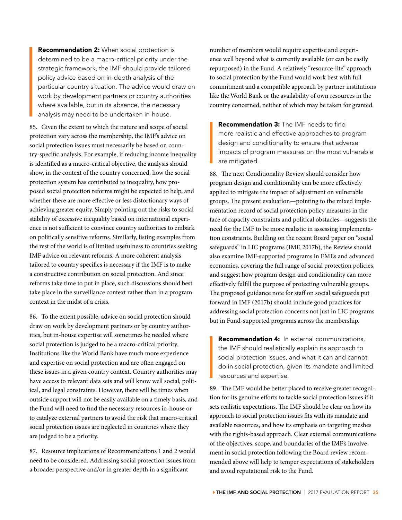**Recommendation 2:** When social protection is determined to be a macro-critical priority under the strategic framework, the IMF should provide tailored policy advice based on in-depth analysis of the particular country situation. The advice would draw on work by development partners or country authorities where available, but in its absence, the necessary analysis may need to be undertaken in-house.

85. Given the extent to which the nature and scope of social protection vary across the membership, the IMF's advice on social protection issues must necessarily be based on country-specific analysis. For example, if reducing income inequality is identified as a macro-critical objective, the analysis should show, in the context of the country concerned, how the social protection system has contributed to inequality, how proposed social protection reforms might be expected to help, and whether there are more effective or less distortionary ways of achieving greater equity. Simply pointing out the risks to social stability of excessive inequality based on international experience is not sufficient to convince country authorities to embark on politically sensitive reforms. Similarly, listing examples from the rest of the world is of limited usefulness to countries seeking IMF advice on relevant reforms. A more coherent analysis tailored to country specifics is necessary if the IMF is to make a constructive contribution on social protection. And since reforms take time to put in place, such discussions should best take place in the surveillance context rather than in a program context in the midst of a crisis.

86. To the extent possible, advice on social protection should draw on work by development partners or by country authorities, but in-house expertise will sometimes be needed where social protection is judged to be a macro-critical priority. Institutions like the World Bank have much more experience and expertise on social protection and are often engaged on these issues in a given country context. Country authorities may have access to relevant data sets and will know well social, political, and legal constraints. However, there will be times when outside support will not be easily available on a timely basis, and the Fund will need to find the necessary resources in-house or to catalyze external partners to avoid the risk that macro-critical social protection issues are neglected in countries where they are judged to be a priority.

87. Resource implications of Recommendations 1 and 2 would need to be considered. Addressing social protection issues from a broader perspective and/or in greater depth in a significant

number of members would require expertise and experience well beyond what is currently available (or can be easily repurposed) in the Fund. A relatively "resource-lite" approach to social protection by the Fund would work best with full commitment and a compatible approach by partner institutions like the World Bank or the availability of own resources in the country concerned, neither of which may be taken for granted.

**Recommendation 3:** The IMF needs to find more realistic and effective approaches to program design and conditionality to ensure that adverse impacts of program measures on the most vulnerable are mitigated.

88. The next Conditionality Review should consider how program design and conditionality can be more effectively applied to mitigate the impact of adjustment on vulnerable groups. The present evaluation—pointing to the mixed implementation record of social protection policy measures in the face of capacity constraints and political obstacles—suggests the need for the IMF to be more realistic in assessing implementation constraints. Building on the recent Board paper on "social safeguards" in LIC programs (IMF, 2017b), the Review should also examine IMF-supported programs in EMEs and advanced economies, covering the full range of social protection policies, and suggest how program design and conditionality can more effectively fulfill the purpose of protecting vulnerable groups. The proposed guidance note for staff on social safeguards put forward in IMF (2017b) should include good practices for addressing social protection concerns not just in LIC programs but in Fund-supported programs across the membership.

Recommendation 4: In external communications, the IMF should realistically explain its approach to social protection issues, and what it can and cannot do in social protection, given its mandate and limited resources and expertise.

89. The IMF would be better placed to receive greater recognition for its genuine efforts to tackle social protection issues if it sets realistic expectations. The IMF should be clear on how its approach to social protection issues fits with its mandate and available resources, and how its emphasis on targeting meshes with the rights-based approach. Clear external communications of the objectives, scope, and boundaries of the IMF's involvement in social protection following the Board review recommended above will help to temper expectations of stakeholders and avoid reputational risk to the Fund.